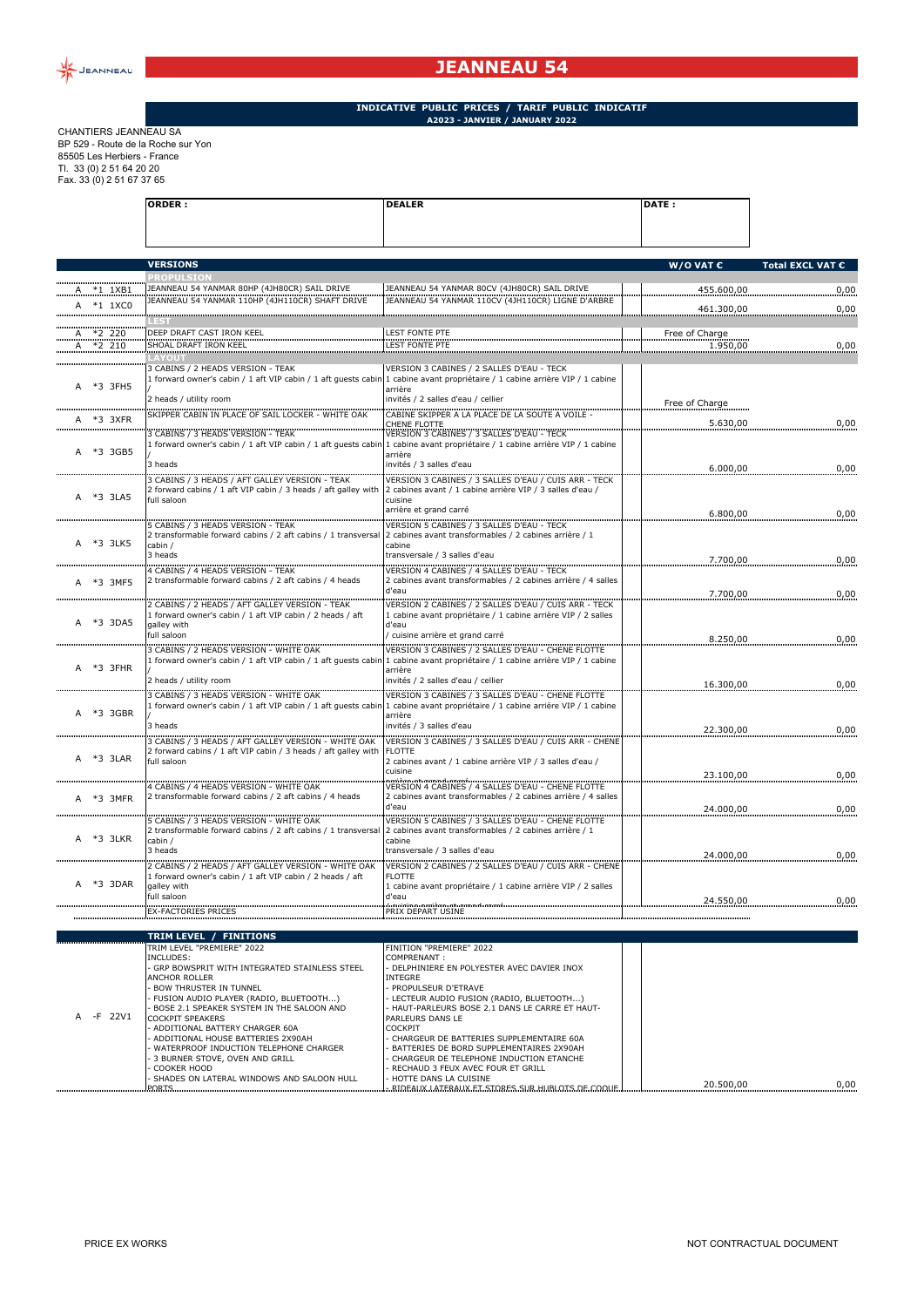

## **JEANNEAU 54**

## **INDICATIVE PUBLIC PRICES / TARIF PUBLIC INDICATIF A2023 - JANVIER / JANUARY 2022**

CHANTIERS JEANNEAU SA BP 529 - Route de la Roche sur Yon 85505 Les Herbiers - France Tl. 33 (0) 2 51 64 20 20 Fax. 33 (0) 2 51 67 37 65

|   |                | <b>ORDER:</b>                                                                                                                 | <b>DEALER</b>                                                                                                                                               | DATE:              |                  |
|---|----------------|-------------------------------------------------------------------------------------------------------------------------------|-------------------------------------------------------------------------------------------------------------------------------------------------------------|--------------------|------------------|
|   |                |                                                                                                                               |                                                                                                                                                             |                    |                  |
|   |                | <b>VERSIONS</b>                                                                                                               |                                                                                                                                                             | W/O VAT $\epsilon$ | Total EXCL VAT € |
|   | A *1 1XB1      | <b>OPULSIO</b><br>JEANNEAU 54 YANMAR 80HP (4JH80CR) SAIL DRIVE                                                                | JEANNEAU 54 YANMAR 80CV (4JH80CR) SAIL DRIVE                                                                                                                | 455.600,00         | 0,00             |
|   | A *1 1XC0      | JEANNEAU 54 YANMAR 110HP (4JH110CR) SHAFT DRIVE                                                                               | JEANNEAU 54 YANMAR 110CV (4JH110CR) LIGNE D'ARBRE                                                                                                           |                    | 0.00             |
|   |                |                                                                                                                               |                                                                                                                                                             | 461.300,00         |                  |
|   | A *2 220       | DEEP DRAFT CAST IRON KEEL                                                                                                     | <b>LEST FONTE PTE</b>                                                                                                                                       | Free of Charge     |                  |
|   | A *2 210       | SHOAL DRAFT IRON KEEL                                                                                                         | LEST FONTE PTE                                                                                                                                              | 1.950,00           | 0,00             |
|   | A *3 3FH5      | 3 CABINS / 2 HEADS VERSION - TEAK<br>1 forward owner's cabin / 1 aft VIP cabin / 1 aft quests cabin<br>2 heads / utility room | VERSION 3 CABINES / 2 SALLES D'EAU - TECK<br>1 cabine avant propriétaire / 1 cabine arrière VIP / 1 cabine<br>arrière<br>invités / 2 salles d'eau / cellier |                    |                  |
| A | *3 3XFR        | SKIPPER CABIN IN PLACE OF SAIL LOCKER - WHITE OAK                                                                             | CABINE SKIPPER A LA PLACE DE LA SOUTE A VOILE -                                                                                                             | Free of Charge     |                  |
|   |                | 3 CABINS / 3 HEADS VERSION - TEAK                                                                                             | CHENE FLOTTE<br>VERSION 3 CABINES / 3 SALLES D'EAU - TECK                                                                                                   | 5.630,00           | 0,00             |
|   | A *3 3GB5      | 1 forward owner's cabin / 1 aft VIP cabin / 1 aft quests cabir<br>3 heads                                                     | 1 cabine avant propriétaire / 1 cabine arrière VIP / 1 cabine<br>arrière<br>invités / 3 salles d'eau                                                        |                    |                  |
|   |                | 3 CABINS / 3 HEADS / AFT GALLEY VERSION - TEAK                                                                                | VERSION 3 CABINES / 3 SALLES D'EAU / CUIS ARR - TECK                                                                                                        | 6.000,00           | 0,00             |
|   | A *3 3LA5      | 2 forward cabins / 1 aft VIP cabin / 3 heads / aft galley with<br>full saloon                                                 | 2 cabines avant / 1 cabine arrière VIP / 3 salles d'eau /<br>cuisine<br>arrière et grand carré                                                              | 6.800,00           | 0,00             |
|   |                | 5 CABINS / 3 HEADS VERSION - TEAK<br>2 transformable forward cabins / 2 aft cabins / 1 transversal                            | VERSION 5 CABINES / 3 SALLES D'EAU - TECK<br>2 cabines avant transformables / 2 cabines arrière / 1                                                         |                    |                  |
|   | A *3 3LK5      | cabin /<br>3 heads                                                                                                            | cabine<br>transversale / 3 salles d'eau                                                                                                                     | 7.700,00           | 0,00             |
|   | A *3 3MF5      | 4 CABINS / 4 HEADS VERSION - TEAK<br>2 transformable forward cabins / 2 aft cabins / 4 heads                                  | VERSION 4 CABINES / 4 SALLES D'EAU - TECK<br>2 cabines avant transformables / 2 cabines arrière / 4 salles<br>d'eau                                         | 7.700,00           | 0,00             |
|   | A *3 3DA5      | 2 CABINS / 2 HEADS / AFT GALLEY VERSION - TEAK<br>1 forward owner's cabin / 1 aft VIP cabin / 2 heads / aft<br>galley with    | VERSION 2 CABINES / 2 SALLES D'EAU / CUIS ARR - TECK<br>1 cabine avant propriétaire / 1 cabine arrière VIP / 2 salles<br>d'eau                              |                    |                  |
|   |                | full saloon<br>3 CABINS / 2 HEADS VERSION - WHITE OAK                                                                         | cuisine arrière et grand carré<br>VERSION 3 CABINES / 2 SALLES D'EAU - CHENE FLOTTE                                                                         | 8.250,00           | 0,00             |
|   | A *3 3FHR      | 1 forward owner's cabin / 1 aft VIP cabin / 1 aft guests cabir<br>2 heads / utility room                                      | 1 cabine avant propriétaire / 1 cabine arrière VIP / 1 cabine<br>arrière<br>invités / 2 salles d'eau / cellier                                              |                    |                  |
|   |                | 3 CABINS / 3 HEADS VERSION - WHITE OAK                                                                                        | VERSION 3 CABINES / 3 SALLES D'EAU - CHENE FLOTTE                                                                                                           | 16.300,00          | 0,00             |
|   | A *3 3GBR      | 1 forward owner's cabin / 1 aft VIP cabin / 1 aft guests cabir<br>3 heads                                                     | 1 cabine avant propriétaire / 1 cabine arrière VIP / 1 cabine<br>arrière<br>invités / 3 salles d'eau                                                        |                    |                  |
|   |                | 3 CABINS / 3 HEADS / AFT GALLEY VERSION - WHITE OAK                                                                           | VERSION 3 CABINES / 3 SALLES D'EAU / CUIS ARR - CHENE                                                                                                       | 22.300,00          | 0,00             |
|   | A *3 3LAR<br>. | 2 forward cabins / 1 aft VIP cabin / 3 heads / aft galley with<br>full saloon                                                 | <b>FLOTTE</b><br>2 cabines avant / 1 cabine arrière VIP / 3 salles d'eau /<br>cuisine                                                                       | 23.100,00          | 0,00             |
|   | A *3 3MFR      | 4 CABINS / 4 HEADS VERSION - WHITE OAK<br>2 transformable forward cabins / 2 aft cabins / 4 heads                             | VERSION 4 CABINES / 4 SALLES D'EAU - CHENE FLOTTE<br>2 cabines avant transformables / 2 cabines arrière / 4 salles<br>d'eau                                 | 24.000,00          | 0,00             |
| A | *3 3LKR        | 5 CABINS / 3 HEADS VERSION - WHITE OAK<br>2 transformable forward cabins / 2 aft cabins / 1 transversal<br>cabin /            | VERSION 5 CABINES / 3 SALLES D'EAU - CHENE FLOTTE<br>2 cabines avant transformables / 2 cabines arrière / 1<br>cabine                                       |                    |                  |
|   |                | 3 heads<br>2 CABINS / 2 HEADS / AFT GALLEY VERSION - WHITE OAK                                                                | transversale / 3 salles d'eau<br>VERSION 2 CABINES / 2 SALLES D'EAU / CUIS ARR - CHENE                                                                      | 24.000,00          | 0,00             |
|   | A *3 3DAR      | 1 forward owner's cabin / 1 aft VIP cabin / 2 heads / aft<br>galley with<br>full saloon                                       | FLOTTE.<br>1 cabine avant propriétaire / 1 cabine arrière VIP / 2 salles<br>d'eau                                                                           |                    |                  |
|   |                | <b>EX-FACTORIES PRICES</b>                                                                                                    | PRIX DEPART USINE                                                                                                                                           | 24.550,00          | 0,00             |
|   |                |                                                                                                                               |                                                                                                                                                             |                    |                  |
|   |                | <b>TRIM LEVEL / FINITIONS</b><br>TRIM LEVEL "PREMIERE" 2022                                                                   | FINITION "PREMIERE" 2022                                                                                                                                    |                    |                  |
|   |                | INCLUDES:<br>GRP BOWSPRIT WITH INTEGRATED STAINLESS STEEL<br>ANCHOR ROLLER<br><b>BOW THRUSTER IN TUNNEL</b>                   | COMPRENANT:<br>DELPHINIERE EN POLYESTER AVEC DAVIER INOX<br><b>INTEGRE</b><br>PROPULSEUR D'ETRAVE                                                           |                    |                  |
|   |                | FUSION AUDIO PLAYER (RADIO, BLUETOOTH)<br>BOSE 2.1 SPEAKER SYSTEM IN THE SALOON AND                                           | LECTEUR AUDIO FUSION (RADIO, BLUETOOTH)<br>HAUT-PARLEURS BOSE 2.1 DANS LE CARRE ET HAUT-                                                                    |                    |                  |

A -F 22V1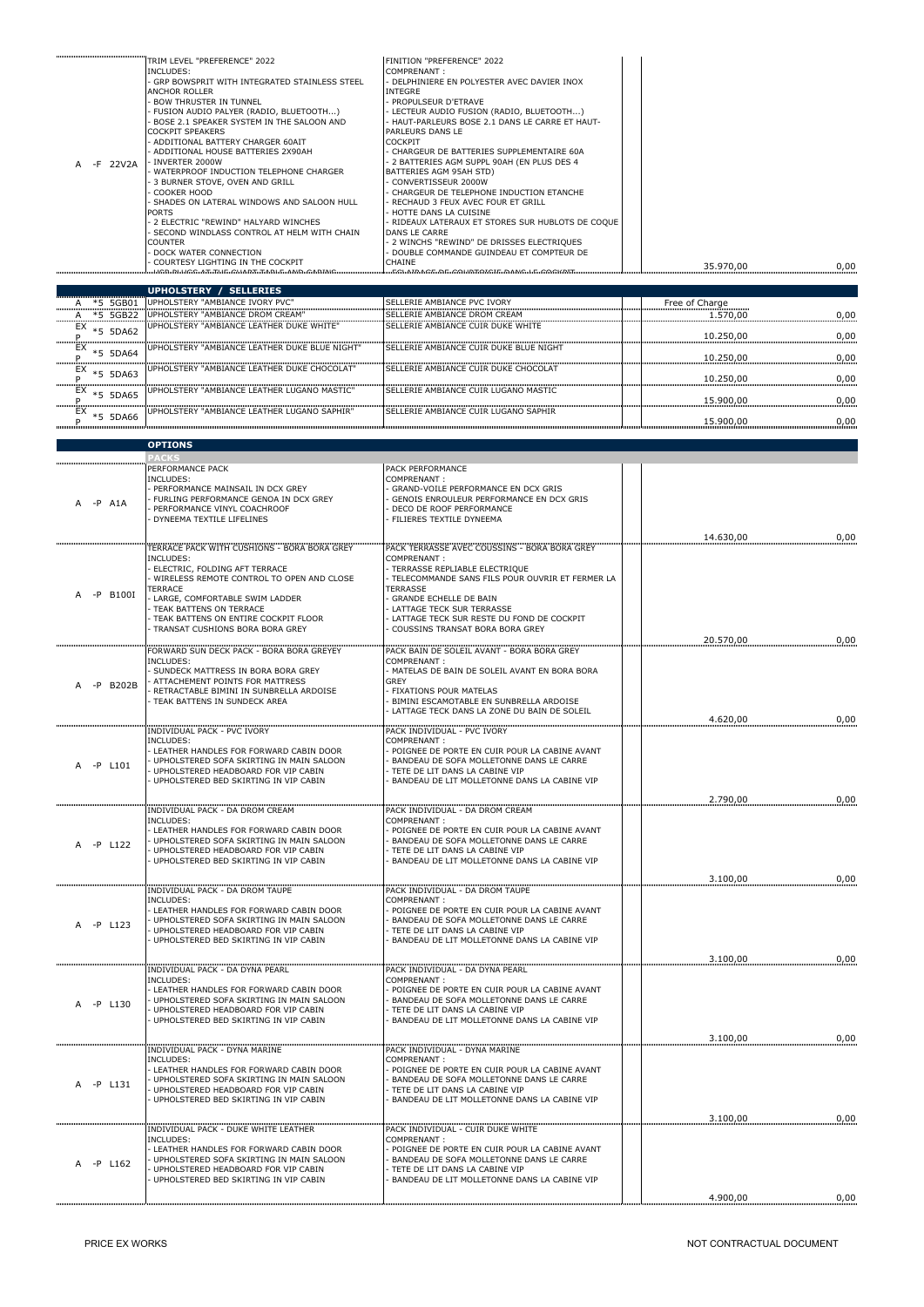|          | TRIM LEVEL "PREFERENCE" 2022                 | FINITION "PREFERENCE" 2022                      |           |      |
|----------|----------------------------------------------|-------------------------------------------------|-----------|------|
|          | INCLUDES:                                    | COMPRENANT:                                     |           |      |
|          | GRP BOWSPRIT WITH INTEGRATED STAINLESS STEEL | - DELPHINIERE EN POLYESTER AVEC DAVIER INOX     |           |      |
|          | <b>ANCHOR ROLLER</b>                         | INTEGRE                                         |           |      |
|          | <b>BOW THRUSTER IN TUNNEL</b>                | - PROPULSEUR D'ETRAVE                           |           |      |
|          | FUSION AUDIO PALYER (RADIO, BLUETOOTH)       | · LECTEUR AUDIO FUSION (RADIO, BLUETOOTH)       |           |      |
|          | BOSE 2.1 SPEAKER SYSTEM IN THE SALOON AND    | - HAUT-PARLEURS BOSE 2.1 DANS LE CARRE ET HAUT- |           |      |
|          | <b>COCKPIT SPEAKERS</b>                      | PARLEURS DANS LE                                |           |      |
|          | ADDITIONAL BATTERY CHARGER 60AIT             | <b>COCKPIT</b>                                  |           |      |
|          | ADDITIONAL HOUSE BATTERIES 2X90AH            | - CHARGEUR DE BATTERIES SUPPLEMENTAIRE 60A      |           |      |
| -F 22V2A | · INVERTER 2000W                             | 2 BATTERIES AGM SUPPL 90AH (EN PLUS DES 4       |           |      |
|          | WATERPROOF INDUCTION TELEPHONE CHARGER       | BATTERIES AGM 95AH STD)                         |           |      |
|          | 3 BURNER STOVE, OVEN AND GRILL               | CONVERTISSEUR 2000W                             |           |      |
|          | COOKER HOOD                                  | CHARGEUR DE TELEPHONE INDUCTION ETANCHE         |           |      |
|          | SHADES ON LATERAL WINDOWS AND SALOON HULL    | · RECHAUD 3 FEUX AVEC FOUR ET GRILL             |           |      |
|          | <b>PORTS</b>                                 | - HOTTE DANS LA CUISINE                         |           |      |
|          | 2 ELECTRIC "REWIND" HALYARD WINCHES          | RIDEAUX LATERAUX ET STORES SUR HUBLOTS DE COQUE |           |      |
|          | SECOND WINDLASS CONTROL AT HELM WITH CHAIN   | DANS LE CARRE                                   |           |      |
|          | <b>COUNTER</b>                               | - 2 WINCHS "REWIND" DE DRISSES ELECTRIQUES      |           |      |
|          | DOCK WATER CONNECTION                        | - DOUBLE COMMANDE GUINDEAU ET COMPTEUR DE       |           |      |
|          | COURTESY LIGHTING IN THE COCKPIT             | <b>CHAINE</b>                                   | 35.970.00 | 0,00 |
|          |                                              |                                                 |           |      |

|                   | <b>SELLERIES</b><br><b>UPHOLSTERY</b>                 |                                             |                |      |
|-------------------|-------------------------------------------------------|---------------------------------------------|----------------|------|
| *5 5GB01          | UPHOLSTERY "AMBIANCE IVORY PVC"                       | SELLERIE AMBIANCE PVC IVORY                 | Free of Charge |      |
| 5GB22<br>$*5$     | UPHOLSTERY "AMBIANCE DROM CREAM"                      | <b>ISELLERIE AMBIANCE DROM CREAM</b>        | 1.570.00       | 0.00 |
| EX<br>5DA62       | <b>IUPHOLSTERY "AMBIANCE LEATHER DUKE WHITE"</b>      | ISELLERIE AMBIANCE CUIR DUKE WHITE          | 10.250.00      | 0.00 |
| EX<br>5DA64       | <b>IUPHOLSTERY "AMBIANCE LEATHER DUKE BLUE NIGHT"</b> | ISELLERIE AMBIANCE CUIR DUKE BLUE NIGHT     | 10.250.00      | 0.00 |
| EX<br>5DA63       | UPHOLSTERY "AMBIANCE LEATHER DUKE CHOCOLAT"           | ISELLERIE AMBIANCE CUIR DUKE CHOCOLAT       | 10.250.00      | 0.00 |
| EX<br>5DA65       | <b>IUPHOLSTERY "AMBIANCE LEATHER LUGANO MASTIC"</b>   | SELLERIE AMBIANCE CUIR LUGANO MASTIC        | 15.900.00      | 0.00 |
| EX<br>5DA66<br>∗ҕ | <b>IUPHOLSTERY "AMBIANCE LEATHER LUGANO SAPHIR"</b>   | <b>SELLERIE AMBIANCE CUIR LUGANO SAPHIR</b> | 15.900.00      | 0.00 |

|                         | <b>OPTIONS</b>                                                                                                                                                                                                                                                                                   |                                                                                                                                                                                                                                                                                                           |           |      |
|-------------------------|--------------------------------------------------------------------------------------------------------------------------------------------------------------------------------------------------------------------------------------------------------------------------------------------------|-----------------------------------------------------------------------------------------------------------------------------------------------------------------------------------------------------------------------------------------------------------------------------------------------------------|-----------|------|
|                         |                                                                                                                                                                                                                                                                                                  |                                                                                                                                                                                                                                                                                                           |           |      |
| -P A1A                  | PERFORMANCE PACK<br>INCLUDES:<br>PERFORMANCE MAINSAIL IN DCX GREY<br>FURLING PERFORMANCE GENOA IN DCX GREY<br>PERFORMANCE VINYL COACHROOF<br>DYNEEMA TEXTILE LIFELINES                                                                                                                           | PACK PERFORMANCE<br>COMPRENANT:<br>GRAND-VOILE PERFORMANCE EN DCX GRIS<br>GENOIS ENROULEUR PERFORMANCE EN DCX GRIS<br>DECO DE ROOF PERFORMANCE<br>FILIERES TEXTILE DYNEEMA                                                                                                                                | 14.630,00 | 0,00 |
| -P B100I                | TERRACE PACK WITH CUSHIONS - BORA BORA GREY<br><b>INCLUDES:</b><br>ELECTRIC, FOLDING AFT TERRACE<br>WIRELESS REMOTE CONTROL TO OPEN AND CLOSE<br>TERRACE<br>LARGE, COMFORTABLE SWIM LADDER<br>TEAK BATTENS ON TERRACE<br>TEAK BATTENS ON ENTIRE COCKPIT FLOOR<br>TRANSAT CUSHIONS BORA BORA GREY | PACK TERRASSE AVEC COUSSINS - BORA BORA GREY<br>COMPRENANT:<br>TERRASSE REPLIABLE ELECTRIQUE<br>TELECOMMANDE SANS FILS POUR OUVRIR ET FERMER LA<br><b>TERRASSE</b><br>GRANDE ECHELLE DE BAIN<br>LATTAGE TECK SUR TERRASSE<br>LATTAGE TECK SUR RESTE DU FOND DE COCKPIT<br>COUSSINS TRANSAT BORA BORA GREY | 20.570,00 | 0,00 |
|                         | FORWARD SUN DECK PACK - BORA BORA GREYEY                                                                                                                                                                                                                                                         | PACK BAIN DE SOLEIL AVANT - BORA BORA GREY                                                                                                                                                                                                                                                                |           |      |
| $-P$ B <sub>202</sub> B | INCLUDES:<br>SUNDECK MATTRESS IN BORA BORA GREY<br>ATTACHEMENT POINTS FOR MATTRESS<br>RETRACTABLE BIMINI IN SUNBRELLA ARDOISE<br>TEAK BATTENS IN SUNDECK AREA                                                                                                                                    | COMPRENANT:<br>MATELAS DE BAIN DE SOLEIL AVANT EN BORA BORA<br><b>GREY</b><br>FIXATIONS POUR MATELAS<br>BIMINI ESCAMOTABLE EN SUNBRELLA ARDOISE<br>LATTAGE TECK DANS LA ZONE DU BAIN DE SOLEIL                                                                                                            |           |      |
|                         | <b>INDIVIDUAL PACK - PVC IVORY</b>                                                                                                                                                                                                                                                               | PACK INDIVIDUAL - PVC IVORY                                                                                                                                                                                                                                                                               | 4.620,00  | 0,00 |
| -P L101                 | INCLUDES:<br>- LEATHER HANDLES FOR FORWARD CABIN DOOR<br>UPHOLSTERED SOFA SKIRTING IN MAIN SALOON<br>UPHOLSTERED HEADBOARD FOR VIP CABIN<br>UPHOLSTERED BED SKIRTING IN VIP CABIN                                                                                                                | COMPRENANT:<br>POIGNEE DE PORTE EN CUIR POUR LA CABINE AVANT<br>BANDEAU DE SOFA MOLLETONNE DANS LE CARRE<br>TETE DE LIT DANS LA CABINE VIP<br>BANDEAU DE LIT MOLLETONNE DANS LA CABINE VIP                                                                                                                |           |      |
|                         |                                                                                                                                                                                                                                                                                                  |                                                                                                                                                                                                                                                                                                           | 2.790,00  | 0,00 |
| -P L122                 | INDIVIDUAL PACK - DA DROM CREAM<br><b>INCLUDES:</b><br>- LEATHER HANDLES FOR FORWARD CABIN DOOR<br>UPHOLSTERED SOFA SKIRTING IN MAIN SALOON<br>UPHOLSTERED HEADBOARD FOR VIP CABIN<br>UPHOLSTERED BED SKIRTING IN VIP CABIN                                                                      | PACK INDIVIDUAL - DA DROM CREAM<br>COMPRENANT:<br>POIGNEE DE PORTE EN CUIR POUR LA CABINE AVANT<br>BANDEAU DE SOFA MOLLETONNE DANS LE CARRE<br>TETE DE LIT DANS LA CABINE VIP<br>BANDEAU DE LIT MOLLETONNE DANS LA CABINE VIP                                                                             |           |      |
|                         |                                                                                                                                                                                                                                                                                                  |                                                                                                                                                                                                                                                                                                           | 3.100,00  | 0,00 |
| -P L123                 | <b>INDIVIDUAL PACK - DA DROM TAUPE</b><br>INCLUDES:<br>LEATHER HANDLES FOR FORWARD CABIN DOOR<br>UPHOLSTERED SOFA SKIRTING IN MAIN SALOON<br>UPHOLSTERED HEADBOARD FOR VIP CABIN<br>UPHOLSTERED BED SKIRTING IN VIP CABIN                                                                        | PACK INDIVIDUAL - DA DROM TAUPE<br>COMPRENANT:<br>POIGNEE DE PORTE EN CUIR POUR LA CABINE AVANT<br>BANDEAU DE SOFA MOLLETONNE DANS LE CARRE<br>TETE DE LIT DANS LA CABINE VIP<br>BANDEAU DE LIT MOLLETONNE DANS LA CABINE VIP                                                                             |           |      |
|                         |                                                                                                                                                                                                                                                                                                  |                                                                                                                                                                                                                                                                                                           | 3.100,00  | 0,00 |
| $-P$ $L130$             | <b>INDIVIDUAL PACK - DA DYNA PEARL</b><br><b>INCLUDES:</b><br>LEATHER HANDLES FOR FORWARD CABIN DOOR<br>UPHOLSTERED SOFA SKIRTING IN MAIN SALOON<br>UPHOLSTERED HEADBOARD FOR VIP CABIN<br>UPHOLSTERED BED SKIRTING IN VIP CABIN                                                                 | PACK INDIVIDUAL - DA DYNA PEARL<br>COMPRENANT:<br>POIGNEE DE PORTE EN CUIR POUR LA CABINE AVANT<br>BANDEAU DE SOFA MOLLETONNE DANS LE CARRE<br>TETE DE LIT DANS LA CABINE VIP<br>BANDEAU DE LIT MOLLETONNE DANS LA CABINE VIP                                                                             |           |      |
|                         |                                                                                                                                                                                                                                                                                                  |                                                                                                                                                                                                                                                                                                           | 3.100,00  | 0,00 |
| A -P L131               | INDIVIDUAL PACK - DYNA MARINE<br>INCLUDES:<br>LEATHER HANDLES FOR FORWARD CABIN DOOR<br>UPHOLSTERED SOFA SKIRTING IN MAIN SALOON<br>UPHOLSTERED HEADBOARD FOR VIP CABIN<br>UPHOLSTERED BED SKIRTING IN VIP CABIN                                                                                 | PACK INDIVIDUAL - DYNA MARINE<br>COMPRENANT:<br>POIGNEE DE PORTE EN CUIR POUR LA CABINE AVANT<br>BANDEAU DE SOFA MOLLETONNE DANS LE CARRE<br>TETE DE LIT DANS LA CABINE VIP<br>BANDEAU DE LIT MOLLETONNE DANS LA CABINE VIP                                                                               |           |      |
|                         | INDIVIDUAL PACK - DUKE WHITE LEATHER                                                                                                                                                                                                                                                             | PACK INDIVIDUAL - CUIR DUKE WHITE                                                                                                                                                                                                                                                                         | 3.100,00  | 0,00 |
| A -P L162               | <b>INCLUDES:</b><br>LEATHER HANDLES FOR FORWARD CABIN DOOR<br>- UPHOLSTERED SOFA SKIRTING IN MAIN SALOON<br>UPHOLSTERED HEADBOARD FOR VIP CABIN<br>UPHOLSTERED BED SKIRTING IN VIP CABIN                                                                                                         | COMPRENANT:<br>POIGNEE DE PORTE EN CUIR POUR LA CABINE AVANT<br>BANDEAU DE SOFA MOLLETONNE DANS LE CARRE<br>TETE DE LIT DANS LA CABINE VIP<br>BANDEAU DE LIT MOLLETONNE DANS LA CABINE VIP                                                                                                                |           |      |
|                         |                                                                                                                                                                                                                                                                                                  |                                                                                                                                                                                                                                                                                                           | 4.900.00  | 0.00 |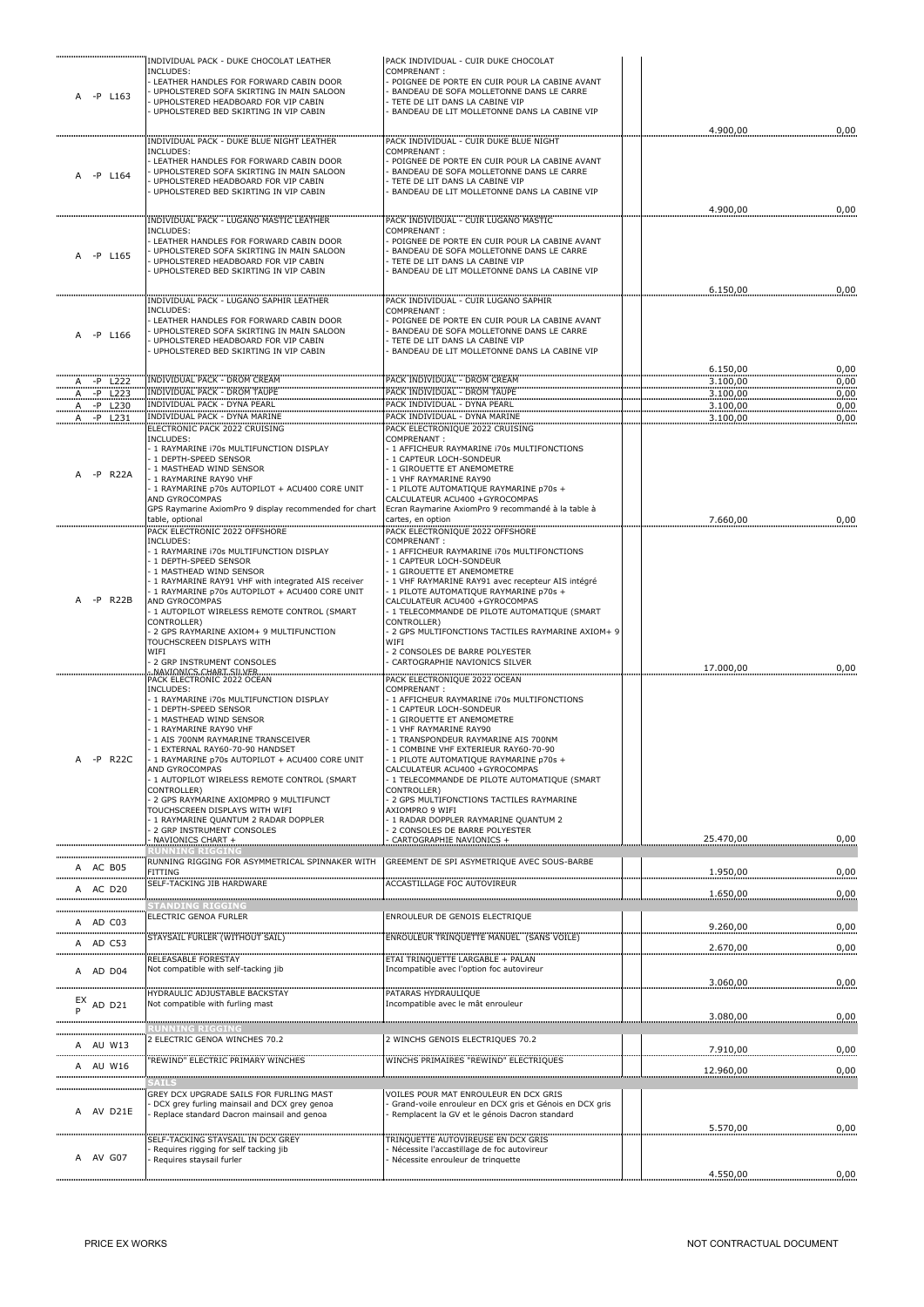| -P L163                          | INDIVIDUAL PACK - DUKE CHOCOLAT LEATHER<br>INCLUDES:<br>LEATHER HANDLES FOR FORWARD CABIN DOOR<br>UPHOLSTERED SOFA SKIRTING IN MAIN SALOON                                                                                                                                                                                                                                                                                                                                            | PACK INDIVIDUAL - CUIR DUKE CHOCOLAT<br>COMPRENANT:<br>POIGNEE DE PORTE EN CUIR POUR LA CABINE AVANT<br>BANDEAU DE SOFA MOLLETONNE DANS LE CARRE                                                                                                                                                                                                                                                                                                                                                                |                      |              |
|----------------------------------|---------------------------------------------------------------------------------------------------------------------------------------------------------------------------------------------------------------------------------------------------------------------------------------------------------------------------------------------------------------------------------------------------------------------------------------------------------------------------------------|-----------------------------------------------------------------------------------------------------------------------------------------------------------------------------------------------------------------------------------------------------------------------------------------------------------------------------------------------------------------------------------------------------------------------------------------------------------------------------------------------------------------|----------------------|--------------|
|                                  | UPHOLSTERED HEADBOARD FOR VIP CABIN<br>UPHOLSTERED BED SKIRTING IN VIP CABIN                                                                                                                                                                                                                                                                                                                                                                                                          | TETE DE LIT DANS LA CABINE VIP<br>BANDEAU DE LIT MOLLETONNE DANS LA CABINE VIP                                                                                                                                                                                                                                                                                                                                                                                                                                  | 4.900,00             | 0,00         |
| A -P L164                        | INDIVIDUAL PACK - DUKE BLUE NIGHT LEATHER<br>INCLUDES:<br>LEATHER HANDLES FOR FORWARD CABIN DOOR<br>UPHOLSTERED SOFA SKIRTING IN MAIN SALOON<br>UPHOLSTERED HEADBOARD FOR VIP CABIN<br>UPHOLSTERED BED SKIRTING IN VIP CABIN                                                                                                                                                                                                                                                          | PACK INDIVIDUAL - CUIR DUKE BLUE NIGHT<br>COMPRENANT:<br>POIGNEE DE PORTE EN CUIR POUR LA CABINE AVANT<br>BANDEAU DE SOFA MOLLETONNE DANS LE CARRE<br>TETE DE LIT DANS LA CABINE VIP<br>BANDEAU DE LIT MOLLETONNE DANS LA CABINE VIP                                                                                                                                                                                                                                                                            |                      |              |
|                                  | INDIVIDUAL PACK - LUGANO MASTIC LEATHER                                                                                                                                                                                                                                                                                                                                                                                                                                               | PACK INDIVIDUAL - CUIR LUGANO MASTIC                                                                                                                                                                                                                                                                                                                                                                                                                                                                            | 4.900,00             | 0,00         |
| A -P L165                        | INCLUDES:<br>LEATHER HANDLES FOR FORWARD CABIN DOOR<br>UPHOLSTERED SOFA SKIRTING IN MAIN SALOON<br>UPHOLSTERED HEADBOARD FOR VIP CABIN<br>UPHOLSTERED BED SKIRTING IN VIP CABIN                                                                                                                                                                                                                                                                                                       | COMPRENANT:<br>POIGNEE DE PORTE EN CUIR POUR LA CABINE AVANT<br>BANDEAU DE SOFA MOLLETONNE DANS LE CARRE<br>TETE DE LIT DANS LA CABINE VIP<br>BANDEAU DE LIT MOLLETONNE DANS LA CABINE VIP                                                                                                                                                                                                                                                                                                                      |                      |              |
|                                  | INDIVIDUAL PACK - LUGANO SAPHIR LEATHER                                                                                                                                                                                                                                                                                                                                                                                                                                               | PACK INDIVIDUAL - CUIR LUGANO SAPHIR                                                                                                                                                                                                                                                                                                                                                                                                                                                                            | 6.150,00             | 0,00         |
| -P L166                          | INCLUDES:<br>LEATHER HANDLES FOR FORWARD CABIN DOOR<br>UPHOLSTERED SOFA SKIRTING IN MAIN SALOON<br>UPHOLSTERED HEADBOARD FOR VIP CABIN<br>UPHOLSTERED BED SKIRTING IN VIP CABIN                                                                                                                                                                                                                                                                                                       | COMPRENANT:<br>POIGNEE DE PORTE EN CUIR POUR LA CABINE AVANT<br>BANDEAU DE SOFA MOLLETONNE DANS LE CARRE<br>TETE DE LIT DANS LA CABINE VIP<br>BANDEAU DE LIT MOLLETONNE DANS LA CABINE VIP                                                                                                                                                                                                                                                                                                                      |                      |              |
| -P L222<br><u>А.</u>             | INDIVIDUAL PACK - DROM CREAM                                                                                                                                                                                                                                                                                                                                                                                                                                                          | PACK INDIVIDUAL - DROM CREAM                                                                                                                                                                                                                                                                                                                                                                                                                                                                                    | 6.150,00<br>3.100,00 | 0,00<br>0,00 |
| A - P L223                       | <b>INDIVIDUAL PACK - DROM TAUPE</b><br>INDIVIDUAL PACK - DYNA PEARL                                                                                                                                                                                                                                                                                                                                                                                                                   | PACK INDIVIDUAL - DROM TAUPE<br>PACK INDIVIDUAL - DYNA PEARL                                                                                                                                                                                                                                                                                                                                                                                                                                                    | 3.100,00<br>3.100,00 | 0,00<br>0,00 |
| $A - P$ L230<br>$-P$ $L231$<br>A | <b>INDIVIDUAL PACK - DYNA MARINE</b>                                                                                                                                                                                                                                                                                                                                                                                                                                                  | PACK INDIVIDUAL - DYNA MARINE                                                                                                                                                                                                                                                                                                                                                                                                                                                                                   | 3.100,00             | 0,00         |
| -P R22A                          | ELECTRONIC PACK 2022 CRUISING<br>INCLUDES:<br>1 RAYMARINE 170s MULTIFUNCTION DISPLAY<br>1 DEPTH-SPEED SENSOR<br>1 MASTHEAD WIND SENSOR<br>1 RAYMARINE RAY90 VHF<br>1 RAYMARINE p70s AUTOPILOT + ACU400 CORE UNIT<br>AND GYROCOMPAS<br>GPS Raymarine AxiomPro 9 display recommended for chart                                                                                                                                                                                          | PACK ELECTRONIQUE 2022 CRUISING<br>COMPRENANT:<br>- 1 AFFICHEUR RAYMARINE i70s MULTIFONCTIONS<br>- 1 CAPTEUR LOCH-SONDEUR<br>1 GIROUETTE ET ANEMOMETRE<br>- 1 VHF RAYMARINE RAY90<br>- 1 PILOTE AUTOMATIQUE RAYMARINE p70s +<br>CALCULATEUR ACU400 +GYROCOMPAS<br>Ecran Raymarine AxiomPro 9 recommandé à la table à                                                                                                                                                                                            |                      |              |
|                                  | able, optional<br>PACK ELECTRONIC 2022 OFFSHORE                                                                                                                                                                                                                                                                                                                                                                                                                                       | cartes, en option<br>PACK ELECTRONIQUE 2022 OFFSHORE                                                                                                                                                                                                                                                                                                                                                                                                                                                            | 7.660,00             | 0,00         |
| -P R22B                          | INCLUDES:<br>1 RAYMARINE 170s MULTIFUNCTION DISPLAY<br>1 DEPTH-SPEED SENSOR<br>1 MASTHEAD WIND SENSOR<br>1 RAYMARINE RAY91 VHF with integrated AIS receiver<br>1 RAYMARINE p70s AUTOPILOT + ACU400 CORE UNIT<br>AND GYROCOMPAS<br>1 AUTOPILOT WIRELESS REMOTE CONTROL (SMART<br>CONTROLLER)<br>2 GPS RAYMARINE AXIOM+ 9 MULTIFUNCTION<br>TOUCHSCREEN DISPLAYS WITH<br>WIFI                                                                                                            | COMPRENANT:<br>- 1 AFFICHEUR RAYMARINE i70s MULTIFONCTIONS<br>1 CAPTEUR LOCH-SONDEUR<br>1 GIROUETTE ET ANEMOMETRE<br>- 1 VHF RAYMARINE RAY91 avec recepteur AIS intégré<br>- 1 PILOTE AUTOMATIQUE RAYMARINE p70s +<br>CALCULATEUR ACU400 +GYROCOMPAS<br>- 1 TELECOMMANDE DE PILOTE AUTOMATIQUE (SMART<br>CONTROLLER)<br>2 GPS MULTIFONCTIONS TACTILES RAYMARINE AXIOM+ 9<br>WIFI<br>2 CONSOLES DE BARRE POLYESTER                                                                                               |                      |              |
|                                  | 2 GRP INSTRUMENT CONSOLES<br>NAVIONICS.CHARTSILVER                                                                                                                                                                                                                                                                                                                                                                                                                                    | CARTOGRAPHIE NAVIONICS SILVER                                                                                                                                                                                                                                                                                                                                                                                                                                                                                   | 17.000,00            | 0,00         |
| A -P R22C                        | PACK ELECTRONIC 2022 OCEAN<br>INCLUDES:<br>1 RAYMARINE 170s MULTIFUNCTION DISPLAY<br>1 DEPTH-SPEED SENSOR<br>1 MASTHEAD WIND SENSOR<br>1 RAYMARINE RAY90 VHF<br>1 AIS 700NM RAYMARINE TRANSCEIVER<br>1 EXTERNAL RAY60-70-90 HANDSET<br>1 RAYMARINE p70s AUTOPILOT + ACU400 CORE UNIT<br>AND GYROCOMPAS<br>1 AUTOPILOT WIRELESS REMOTE CONTROL (SMART<br>CONTROLLER)<br>2 GPS RAYMARINE AXIOMPRO 9 MULTIFUNCT<br>TOUCHSCREEN DISPLAYS WITH WIFI<br>1 RAYMARINE QUANTUM 2 RADAR DOPPLER | PACK ELECTRONIQUE 2022 OCEAN<br>COMPRENANT:<br>- 1 AFFICHEUR RAYMARINE i70s MULTIFONCTIONS<br>- 1 CAPTEUR LOCH-SONDEUR<br>1 GIROUETTE ET ANEMOMETRE<br>1 VHF RAYMARINE RAY90<br>- 1 TRANSPONDEUR RAYMARINE AIS 700NM<br>- 1 COMBINE VHF EXTERIEUR RAY60-70-90<br>- 1 PILOTE AUTOMATIQUE RAYMARINE p70s +<br>CALCULATEUR ACU400 +GYROCOMPAS<br>1 TELECOMMANDE DE PILOTE AUTOMATIQUE (SMART<br>CONTROLLER)<br>2 GPS MULTIFONCTIONS TACTILES RAYMARINE<br>AXIOMPRO 9 WIFI<br>- 1 RADAR DOPPLER RAYMARINE OUANTUM 2 |                      |              |
|                                  | 2 GRP INSTRUMENT CONSOLES<br>NAVIONICS CHART +                                                                                                                                                                                                                                                                                                                                                                                                                                        | - 2 CONSOLES DE BARRE POLYESTER<br>CARTOGRAPHIE NAVIONICS +                                                                                                                                                                                                                                                                                                                                                                                                                                                     | 25.470,00            | 0,00         |
|                                  | UNNING RIGGING<br>RUNNING RIGGING FOR ASYMMETRICAL                                                                                                                                                                                                                                                                                                                                                                                                                                    | GREEMENT DE SPI ASYMETRIQUE AVEC SOUS-BARBE                                                                                                                                                                                                                                                                                                                                                                                                                                                                     |                      |              |
| A AC B05                         | <b>FITTING</b><br>SELF-TACKING JIB HARDWARE                                                                                                                                                                                                                                                                                                                                                                                                                                           | <b>ACCASTILLAGE FOC AUTOVIREUR</b>                                                                                                                                                                                                                                                                                                                                                                                                                                                                              | 1.950,00             | 0,00         |
| A AC D20                         |                                                                                                                                                                                                                                                                                                                                                                                                                                                                                       |                                                                                                                                                                                                                                                                                                                                                                                                                                                                                                                 | 1.650,00             | 0,00         |
|                                  | <b>STANDING RIGGING</b><br>ELECTRIC GENOA FURLER                                                                                                                                                                                                                                                                                                                                                                                                                                      | ENROULEUR DE GENOIS ELECTRIQUE                                                                                                                                                                                                                                                                                                                                                                                                                                                                                  |                      |              |
| A AD C03                         |                                                                                                                                                                                                                                                                                                                                                                                                                                                                                       |                                                                                                                                                                                                                                                                                                                                                                                                                                                                                                                 | 9.260,00             | 0,00         |
| A AD C53                         | STAYSAIL FURLER (WITHOUT SAIL)                                                                                                                                                                                                                                                                                                                                                                                                                                                        | ENROULEUR TRINQUETTE MANUEL (SANS VOILE)                                                                                                                                                                                                                                                                                                                                                                                                                                                                        | 2.670,00             | 0,00         |
| A AD D04                         | RELEASABLE FORESTAY<br>Not compatible with self-tacking jib                                                                                                                                                                                                                                                                                                                                                                                                                           | ETAI TRINQUETTE LARGABLE + PALAN<br>Incompatible avec l'option foc autovireur                                                                                                                                                                                                                                                                                                                                                                                                                                   | 3.060,00             | 0,00         |
| EX<br>AD D21                     | <b>HYDRAULIC ADJUSTABLE BACKSTAY</b><br>Not compatible with furling mast                                                                                                                                                                                                                                                                                                                                                                                                              | PATARAS HYDRAULIOUE<br>Incompatible avec le mât enrouleur                                                                                                                                                                                                                                                                                                                                                                                                                                                       | 3.080,00             | 0,00         |
|                                  | <b>RUNNING RIGGING</b><br>2 ELECTRIC GENOA WINCHES 70.2                                                                                                                                                                                                                                                                                                                                                                                                                               | 2 WINCHS GENOIS ELECTRIQUES 70.2                                                                                                                                                                                                                                                                                                                                                                                                                                                                                |                      |              |
| A AU W13<br>.                    |                                                                                                                                                                                                                                                                                                                                                                                                                                                                                       |                                                                                                                                                                                                                                                                                                                                                                                                                                                                                                                 | 7.910,00             | 0,00         |
| A AU W16                         | 'REWIND" ELECTRIC PRIMARY WINCHES                                                                                                                                                                                                                                                                                                                                                                                                                                                     | WINCHS PRIMAIRES "REWIND" ELECTRIQUES                                                                                                                                                                                                                                                                                                                                                                                                                                                                           | 12.960,00            | 0,00         |
|                                  | SAILS                                                                                                                                                                                                                                                                                                                                                                                                                                                                                 |                                                                                                                                                                                                                                                                                                                                                                                                                                                                                                                 |                      |              |
| A AV D21E                        | GREY DCX UPGRADE SAILS FOR FURLING MAST<br>DCX grey furling mainsail and DCX grey genoa<br>Replace standard Dacron mainsail and genoa                                                                                                                                                                                                                                                                                                                                                 | VOILES POUR MAT ENROULEUR EN DCX GRIS<br>Grand-voile enrouleur en DCX gris et Génois en DCX gris<br>Remplacent la GV et le génois Dacron standard                                                                                                                                                                                                                                                                                                                                                               | 5.570,00             | 0,00         |
|                                  | SELF-TACKING STAYSAIL IN DCX GREY<br>Requires rigging for self tacking jib                                                                                                                                                                                                                                                                                                                                                                                                            | TRINQUETTE AUTOVIREUSE EN DCX GRIS<br>Nécessite l'accastillage de foc autovireur                                                                                                                                                                                                                                                                                                                                                                                                                                |                      |              |
| A AV G07                         | Requires staysail furler                                                                                                                                                                                                                                                                                                                                                                                                                                                              | Nécessite enrouleur de trinquette                                                                                                                                                                                                                                                                                                                                                                                                                                                                               | 4.550,00             | 0,00         |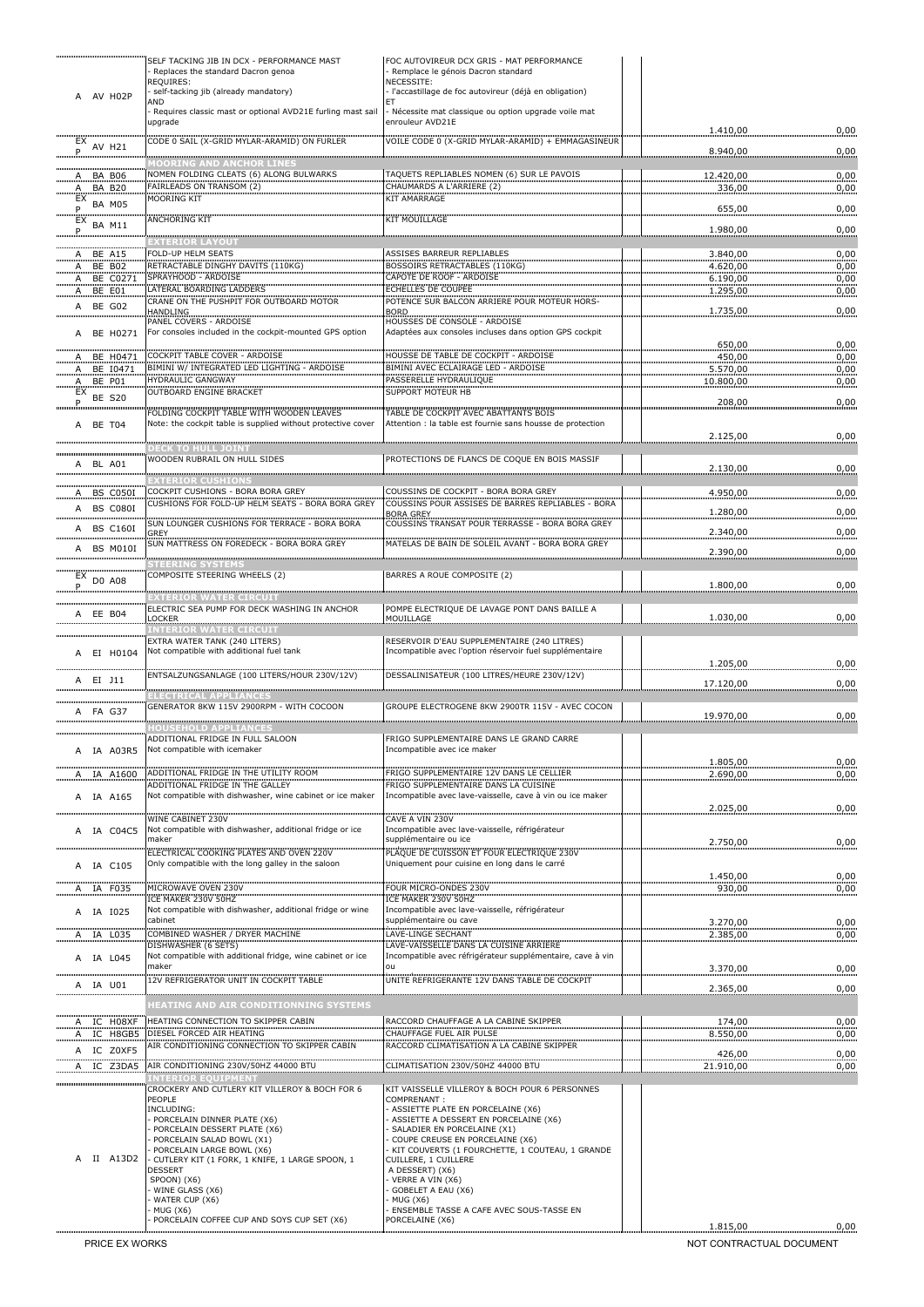|                            | SELF TACKING JIB IN DCX - PERFORMANCE MAST<br>Replaces the standard Dacron genoa                            | FOC AUTOVIREUR DCX GRIS - MAT PERFORMANCE<br>Remplace le génois Dacron standard                   |                       |              |
|----------------------------|-------------------------------------------------------------------------------------------------------------|---------------------------------------------------------------------------------------------------|-----------------------|--------------|
|                            | REQUIRES:                                                                                                   | NECESSITE:                                                                                        |                       |              |
| AV H02P<br>A               | self-tacking jib (already mandatory)<br>AND                                                                 | · l'accastillage de foc autovireur (déjà en obligation)                                           |                       |              |
|                            | Requires classic mast or optional AVD21E furling mast sail<br>upgrade                                       | Nécessite mat classique ou option upgrade voile mat<br>enrouleur AVD21E                           | 1.410,00              | 0,00         |
| $\frac{EX}{Y}$ AV H21      | CODE 0 SAIL (X-GRID MYLAR-ARAMID) ON FURLER                                                                 | VOILE CODE 0 (X-GRID MYLAR-ARAMID) + EMMAGASINEUR                                                 | 8.940,00              | 0,00         |
|                            | www.www.www.www.www.www.www.www.www.<br>IOORING AND ANCHOR LINES<br>NOMEN FOLDING CLEATS (6) ALONG BULWARKS | TAQUETS REPLIABLES NOMEN (6) SUR LE PAVOIS                                                        |                       |              |
| A BA B06                   | FAIRLEADS ON TRANSOM (2)                                                                                    | CHAUMARDS A L'ARRIERE (2)                                                                         | 12.420,00<br>336,00   | 0,00<br>0,00 |
| $A$ BA B20                 | <b>MOORING KIT</b>                                                                                          | <b>KIT AMARRAGE</b>                                                                               |                       |              |
| P.<br>$EX$ BA $M11$        | ANCHORING KIT                                                                                               | <b>KIT MOUILLAGE</b>                                                                              | 655,00                | 0,00         |
| .P                         | <b>MANAGEMON CONTROL</b>                                                                                    |                                                                                                   | 1.980,00              | 0,00         |
| $A$ BE $A15$               | FOLD-UP HELM SEATS                                                                                          | ASSISES BARREUR REPLIABLES                                                                        | 3.840.00              | 0,00         |
| A BE B02                   | RETRACTABLE DINGHY DAVITS (110KG)                                                                           | <b>BOSSOIRS RETRACTABLES (110KG)</b>                                                              | 4.620,00              | 0,00         |
| A BE C0271                 | SPRAYHOOD - ARDOISE<br><b>ATERAL BOARDING LADDERS</b>                                                       | CAPOTE DE ROOF - ARDOISE<br><b>ECHELLES DE COUPEE</b>                                             | 6.190,00              | 0,00         |
| A BE E01<br>A BE G02       | CRANE ON THE PUSHPIT FOR OUTBOARD MOTOR                                                                     | POTENCE SUR BALCON ARRIERE POUR MOTEUR HORS-                                                      | 1.295,00              | 0,00         |
|                            | HANDLING<br>PANEL COVERS - ARDOISE                                                                          | <b>BORD</b><br>HOUSSES DE CONSOLE - ARDOISE                                                       | 1.735,00              | 0,00         |
| A BE H0271                 | For consoles included in the cockpit-mounted GPS option                                                     | Adaptées aux consoles incluses dans option GPS cockpit                                            | 650,00                | 0,00         |
| A BE H0471                 | COCKPIT TABLE COVER - ARDOISE                                                                               | HOUSSE DE TABLE DE COCKPIT - ARDOISE                                                              | 450,00                | 0,00         |
| BE 10471<br>Α.<br>A BE P01 | BIMINI W/ INTEGRATED LED LIGHTING - ARDOISE<br><b>HYDRAULIC GANGWAY</b>                                     | BIMINI AVEC ECLAIRAGE LED - ARDOISE<br>PASSERELLE HYDRAULIQUE                                     | 5.570,00<br>10.800,00 | 0,00<br>0,00 |
| $EX$ BE S20                | <b>OUTBOARD ENGINE BRACKET</b>                                                                              | <b>SUPPORT MOTFUR HB</b>                                                                          |                       |              |
| .P                         | FOLDING COCKPIT TABLE WITH WOODEN LEAVES                                                                    | TABLE DE COCKPIT AVEC ABATTANTS BOIS                                                              | 208,00                | 0,00         |
| A BE T04                   | Note: the cockpit table is supplied without protective cover                                                | Attention : la table est fournie sans housse de protection                                        | 2.125,00              | 0,00         |
|                            | <b>ECK TO HULL JOINT</b><br>WOODEN RUBRAIL ON HULL SIDES                                                    | PROTECTIONS DE FLANCS DE COQUE EN BOIS MASSIF                                                     |                       |              |
| A BL A01                   |                                                                                                             |                                                                                                   | 2.130,00              | 0,00         |
|                            | <b>EXTERIOR CUSHIONS</b><br>COCKPIT CUSHIONS - BORA BORA GREY                                               | COUSSINS DE COCKPIT - BORA BORA GREY                                                              |                       |              |
| A BS C050I<br>A BS C080I   | CUSHIONS FOR FOLD-UP HELM SEATS - BORA BORA GREY                                                            | COUSSINS POUR ASSISES DE BARRES REPLIABLES - BORA                                                 | 4.950,00              | 0,00         |
|                            | SUN LOUNGER CUSHIONS FOR TERRACE - BORA BORA                                                                | <b>BORA GREY</b><br>COUSSINS TRANSAT POUR TERRASSE - BORA BORA GREY                               | 1.280,00              | 0,00         |
| A BS C160I                 | GREY                                                                                                        |                                                                                                   | 2.340,00              | 0,00         |
| A BS M010I                 | SUN MATTRESS ON FOREDECK - BORA BORA GREY                                                                   | MATELAS DE BAIN DE SOLEIL AVANT - BORA BORA GREY                                                  | 2.390,00              | 0,00         |
|                            | <b>STEERING SYSTEMS</b><br>COMPOSITE STEERING WHEELS (2)                                                    | BARRES A ROUE COMPOSITE (2)                                                                       |                       |              |
| $EX$ DO A08                |                                                                                                             |                                                                                                   | 1.800,00              | 0,00         |
|                            | ELECTRIC SEA PUMP FOR DECK WASHING IN ANCHOR                                                                | POMPE ELECTRIQUE DE LAVAGE PONT DANS BAILLE A                                                     |                       |              |
| EE B04<br>Α                | LOCKER                                                                                                      | <b>MOUILLAGE</b>                                                                                  | 1.030,00              | 0,00         |
|                            | <b>ENTERIOR WATER CIRCUIT</b><br>EXTRA WATER TANK (240 LITERS)                                              | RESERVOIR D'EAU SUPPLEMENTAIRE (240 LITRES)                                                       |                       |              |
| A EI H0104                 | Not compatible with additional fuel tank                                                                    | Incompatible avec l'option réservoir fuel supplémentaire                                          |                       |              |
|                            | ENTSALZUNGSANLAGE (100 LITERS/HOUR 230V/12V)                                                                | DESSALINISATEUR (100 LITRES/HEURE 230V/12V)                                                       | 1.205,00              | 0,00         |
| EI J11<br>A                | ECTRICAL APPLIANCES                                                                                         |                                                                                                   | 17.120,00             | 0,00         |
| A FA G37                   | GENERATOR 8KW 115V 2900RPM - WITH COCOON                                                                    | GROUPE ELECTROGENE 8KW 2900TR 115V - AVEC COCON                                                   |                       |              |
|                            | <b>OUSEHOLD APPLIANCES</b>                                                                                  |                                                                                                   | 19.970,00             | 0,00         |
|                            | ADDITIONAL FRIDGE IN FULL SALOON                                                                            | FRIGO SUPPLEMENTAIRE DANS LE GRAND CARRE                                                          |                       |              |
| A IA A03R5                 | Not compatible with icemaker                                                                                | Incompatible avec ice maker                                                                       | 1.805,00              | 0,00         |
| IA A1600<br><u>А.</u>      | ADDITIONAL FRIDGE IN THE UTILITY ROOM                                                                       | FRIGO SUPPLEMENTAIRE 12V DANS LE CELLIER                                                          | 2.690,00              | 0,00         |
| A IA A165                  | ADDITIONAL FRIDGE IN THE GALLEY<br>Not compatible with dishwasher, wine cabinet or ice maker                | FRIGO SUPPLEMENTAIRE DANS LA CUISINE<br>Incompatible avec lave-vaisselle, cave à vin ou ice maker |                       |              |
|                            |                                                                                                             |                                                                                                   | 2.025,00              | 0,00         |
| A IA C04C5                 | WINE CABINET 230V<br>Not compatible with dishwasher, additional fridge or ice                               | CAVE A VIN 230V<br>Incompatible avec lave-vaisselle, réfrigérateur                                |                       |              |
|                            | maker                                                                                                       | supplémentaire ou ice                                                                             | 2.750,00              | 0,00         |
|                            | ELECTRICAL COOKING PLATES AND OVEN 220V<br>Only compatible with the long galley in the saloon               | PLAQUE DE CUISSON ET FOUR ELECTRIQUE 230V<br>Uniquement pour cuisine en long dans le carré        |                       |              |
| A IA C105                  |                                                                                                             |                                                                                                   | 1.450,00              | 0,00         |
| A IA F035                  | MICROWAVE OVEN 230V<br>ICE MAKER 230V 50HZ                                                                  | FOUR MICRO-ONDES 230V<br>ICE MAKER 230V 50HZ                                                      | 930,00                | 0,00         |
| A IA 1025                  | Not compatible with dishwasher, additional fridge or wine                                                   | Incompatible avec lave-vaisselle, réfrigérateur                                                   |                       |              |
|                            | cabinet                                                                                                     | supplémentaire ou cave                                                                            | 3.270,00              | 0,00         |
| A IA L035                  | COMBINED WASHER / DRYER MACHINE<br>DISHWASHER (6 SETS)                                                      | <b>LAVE-LINGE SECHANT</b><br>LAVE-VAISSELLE DANS LA CUISINE ARRIERE                               | 2.385,00              | 0,00         |
| A IA L045                  | Not compatible with additional fridge, wine cabinet or ice<br>maker                                         | Incompatible avec réfrigérateur supplémentaire, cave à vin<br>ou                                  |                       |              |
|                            | <b>12V REFRIGERATOR UNIT IN COCKPIT TABLE</b>                                                               | UNITE REFRIGERANTE 12V DANS TABLE DE COCKPIT                                                      | 3.370,00              | 0,00         |
| A IA U01                   |                                                                                                             |                                                                                                   | 2.365,00              | 0,00         |
|                            | HEATING AND AIR CONDITIONNING SYSTEMS                                                                       |                                                                                                   |                       |              |
| A IC HO8XF<br>A IC H8GB5   | HEATING CONNECTION TO SKIPPER CABIN<br>DIESEL FORCED AIR HEATING                                            | RACCORD CHAUFFAGE A LA CABINE SKIPPER<br>CHAUFFAGE FUEL AIR PULSE                                 | 174,00<br>8.550,00    | 0,00<br>0,00 |
| A IC Z0XF5                 | AIR CONDITIONING CONNECTION TO SKIPPER CABIN                                                                | RACCORD CLIMATISATION A LA CABINE SKIPPER                                                         |                       |              |
| A IC Z3DA5                 | AIR CONDITIONING 230V/50HZ 44000 BTU                                                                        | CLIMATISATION 230V/50HZ 44000 BTU                                                                 | 426,00<br>21.910,00   | 0,00<br>0,00 |
|                            | <b>INTERIOR EOUIPMENT</b>                                                                                   |                                                                                                   |                       |              |
|                            | CROCKERY AND CUTLERY KIT VILLEROY & BOCH FOR 6<br>PEOPLE                                                    | KIT VAISSELLE VILLEROY & BOCH POUR 6 PERSONNES<br>COMPRENANT:                                     |                       |              |
|                            | INCLUDING:<br>PORCELAIN DINNER PLATE (X6)                                                                   | ASSIETTE PLATE EN PORCELAINE (X6)<br>ASSIETTE A DESSERT EN PORCELAINE (X6)                        |                       |              |
|                            | PORCELAIN DESSERT PLATE (X6)                                                                                | SALADIER EN PORCELAINE (X1)                                                                       |                       |              |
|                            | PORCELAIN SALAD BOWL (X1)<br>PORCELAIN LARGE BOWL (X6)                                                      | COUPE CREUSE EN PORCELAINE (X6)<br>KIT COUVERTS (1 FOURCHETTE, 1 COUTEAU, 1 GRANDE                |                       |              |
| II A13D2                   | - CUTLERY KIT (1 FORK, 1 KNIFE, 1 LARGE SPOON, 1<br>DESSERT                                                 | CUILLERE, 1 CUILLERE<br>A DESSERT) (X6)                                                           |                       |              |
|                            | SPOON) (X6)                                                                                                 | VERRE A VIN (X6)                                                                                  |                       |              |
|                            | WINE GLASS (X6)<br>WATER CUP (X6)                                                                           | GOBELET A EAU (X6)<br>MUG (X6)                                                                    |                       |              |
|                            | MUG (X6)<br>PORCELAIN COFFEE CUP AND SOYS CUP SET (X6)                                                      | ENSEMBLE TASSE A CAFE AVEC SOUS-TASSE EN<br>PORCELAINE (X6)                                       |                       |              |
|                            |                                                                                                             |                                                                                                   | 1.815,00              | 0,00         |